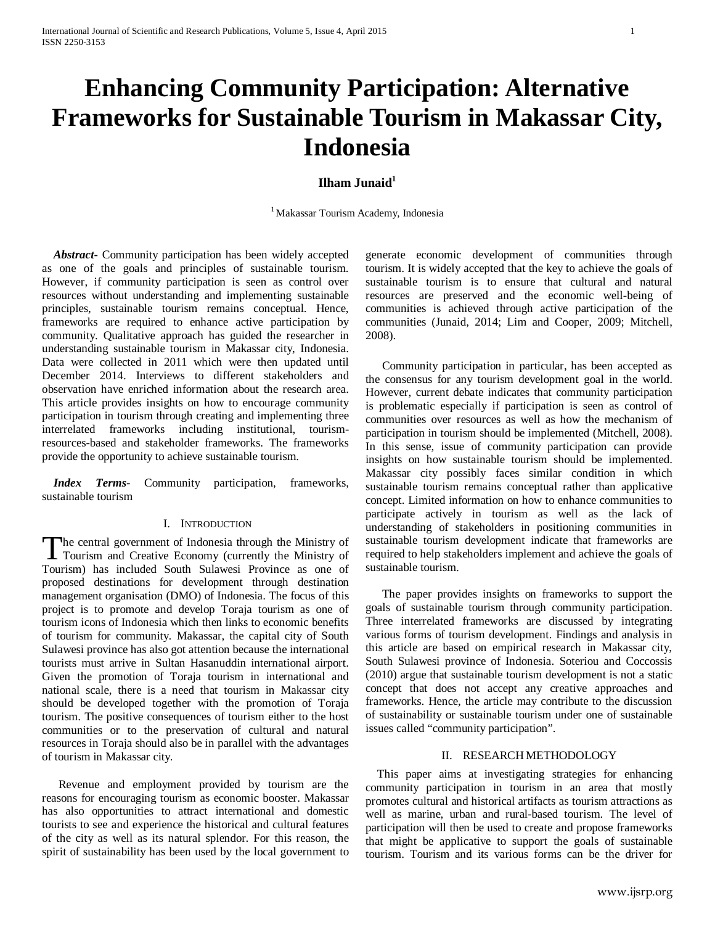# **Enhancing Community Participation: Alternative Frameworks for Sustainable Tourism in Makassar City, Indonesia**

# **Ilham Junaid**

<sup>1</sup> Makassar Tourism Academy, Indonesia

 *Abstract***-** Community participation has been widely accepted as one of the goals and principles of sustainable tourism. However, if community participation is seen as control over resources without understanding and implementing sustainable principles, sustainable tourism remains conceptual. Hence, frameworks are required to enhance active participation by community. Qualitative approach has guided the researcher in understanding sustainable tourism in Makassar city, Indonesia. Data were collected in 2011 which were then updated until December 2014. Interviews to different stakeholders and observation have enriched information about the research area. This article provides insights on how to encourage community participation in tourism through creating and implementing three interrelated frameworks including institutional, tourismresources-based and stakeholder frameworks. The frameworks provide the opportunity to achieve sustainable tourism.

 *Index Terms*- Community participation, frameworks, sustainable tourism

#### I. INTRODUCTION

The central government of Indonesia through the Ministry of The central government of Indonesia through the Ministry of Tourism and Creative Economy (currently the Ministry of Tourism) has included South Sulawesi Province as one of proposed destinations for development through destination management organisation (DMO) of Indonesia. The focus of this project is to promote and develop Toraja tourism as one of tourism icons of Indonesia which then links to economic benefits of tourism for community. Makassar, the capital city of South Sulawesi province has also got attention because the international tourists must arrive in Sultan Hasanuddin international airport. Given the promotion of Toraja tourism in international and national scale, there is a need that tourism in Makassar city should be developed together with the promotion of Toraja tourism. The positive consequences of tourism either to the host communities or to the preservation of cultural and natural resources in Toraja should also be in parallel with the advantages of tourism in Makassar city.

Revenue and employment provided by tourism are the reasons for encouraging tourism as economic booster. Makassar has also opportunities to attract international and domestic tourists to see and experience the historical and cultural features of the city as well as its natural splendor. For this reason, the spirit of sustainability has been used by the local government to generate economic development of communities through tourism. It is widely accepted that the key to achieve the goals of sustainable tourism is to ensure that cultural and natural resources are preserved and the economic well-being of communities is achieved through active participation of the communities (Junaid, 2014; Lim and Cooper, 2009; Mitchell, 2008).

Community participation in particular, has been accepted as the consensus for any tourism development goal in the world. However, current debate indicates that community participation is problematic especially if participation is seen as control of communities over resources as well as how the mechanism of participation in tourism should be implemented (Mitchell, 2008). In this sense, issue of community participation can provide insights on how sustainable tourism should be implemented. Makassar city possibly faces similar condition in which sustainable tourism remains conceptual rather than applicative concept. Limited information on how to enhance communities to participate actively in tourism as well as the lack of understanding of stakeholders in positioning communities in sustainable tourism development indicate that frameworks are required to help stakeholders implement and achieve the goals of sustainable tourism.

The paper provides insights on frameworks to support the goals of sustainable tourism through community participation. Three interrelated frameworks are discussed by integrating various forms of tourism development. Findings and analysis in this article are based on empirical research in Makassar city, South Sulawesi province of Indonesia. Soteriou and Coccossis (2010) argue that sustainable tourism development is not a static concept that does not accept any creative approaches and frameworks. Hence, the article may contribute to the discussion of sustainability or sustainable tourism under one of sustainable issues called "community participation".

#### II. RESEARCH METHODOLOGY

 This paper aims at investigating strategies for enhancing community participation in tourism in an area that mostly promotes cultural and historical artifacts as tourism attractions as well as marine, urban and rural-based tourism. The level of participation will then be used to create and propose frameworks that might be applicative to support the goals of sustainable tourism. Tourism and its various forms can be the driver for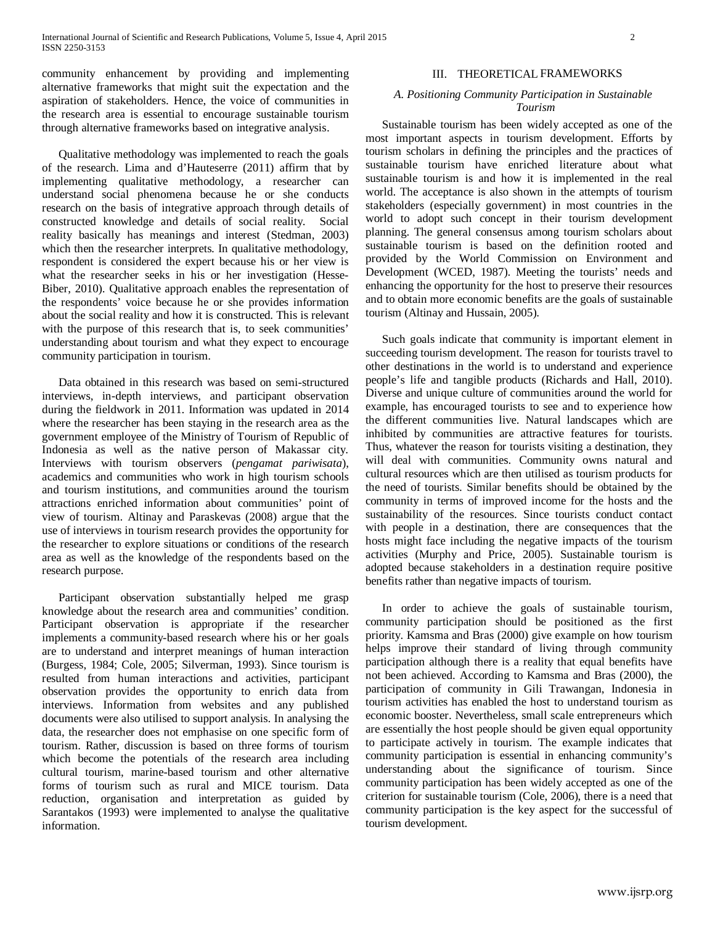community enhancement by providing and implementing alternative frameworks that might suit the expectation and the aspiration of stakeholders. Hence, the voice of communities in the research area is essential to encourage sustainable tourism through alternative frameworks based on integrative analysis.

Qualitative methodology was implemented to reach the goals of the research. Lima and d'Hauteserre (2011) affirm that by implementing qualitative methodology, a researcher can understand social phenomena because he or she conducts research on the basis of integrative approach through details of constructed knowledge and details of social reality. Social reality basically has meanings and interest (Stedman, 2003) which then the researcher interprets. In qualitative methodology, respondent is considered the expert because his or her view is what the researcher seeks in his or her investigation (Hesse-Biber, 2010). Qualitative approach enables the representation of the respondents' voice because he or she provides information about the social reality and how it is constructed. This is relevant with the purpose of this research that is, to seek communities' understanding about tourism and what they expect to encourage community participation in tourism.

Data obtained in this research was based on semi-structured interviews, in-depth interviews, and participant observation during the fieldwork in 2011. Information was updated in 2014 where the researcher has been staying in the research area as the government employee of the Ministry of Tourism of Republic of Indonesia as well as the native person of Makassar city. Interviews with tourism observers (*pengamat pariwisata*), academics and communities who work in high tourism schools and tourism institutions, and communities around the tourism attractions enriched information about communities' point of view of tourism. Altinay and Paraskevas (2008) argue that the use of interviews in tourism research provides the opportunity for the researcher to explore situations or conditions of the research area as well as the knowledge of the respondents based on the research purpose.

Participant observation substantially helped me grasp knowledge about the research area and communities' condition. Participant observation is appropriate if the researcher implements a community-based research where his or her goals are to understand and interpret meanings of human interaction (Burgess, 1984; Cole, 2005; Silverman, 1993). Since tourism is resulted from human interactions and activities, participant observation provides the opportunity to enrich data from interviews. Information from websites and any published documents were also utilised to support analysis. In analysing the data, the researcher does not emphasise on one specific form of tourism. Rather, discussion is based on three forms of tourism which become the potentials of the research area including cultural tourism, marine-based tourism and other alternative forms of tourism such as rural and MICE tourism. Data reduction, organisation and interpretation as guided by Sarantakos (1993) were implemented to analyse the qualitative information.

## III. THEORETICAL FRAMEWORKS

## *A. Positioning Community Participation in Sustainable Tourism*

Sustainable tourism has been widely accepted as one of the most important aspects in tourism development. Efforts by tourism scholars in defining the principles and the practices of sustainable tourism have enriched literature about what sustainable tourism is and how it is implemented in the real world. The acceptance is also shown in the attempts of tourism stakeholders (especially government) in most countries in the world to adopt such concept in their tourism development planning. The general consensus among tourism scholars about sustainable tourism is based on the definition rooted and provided by the World Commission on Environment and Development (WCED, 1987). Meeting the tourists' needs and enhancing the opportunity for the host to preserve their resources and to obtain more economic benefits are the goals of sustainable tourism (Altinay and Hussain, 2005).

Such goals indicate that community is important element in succeeding tourism development. The reason for tourists travel to other destinations in the world is to understand and experience people's life and tangible products (Richards and Hall, 2010). Diverse and unique culture of communities around the world for example, has encouraged tourists to see and to experience how the different communities live. Natural landscapes which are inhibited by communities are attractive features for tourists. Thus, whatever the reason for tourists visiting a destination, they will deal with communities. Community owns natural and cultural resources which are then utilised as tourism products for the need of tourists. Similar benefits should be obtained by the community in terms of improved income for the hosts and the sustainability of the resources. Since tourists conduct contact with people in a destination, there are consequences that the hosts might face including the negative impacts of the tourism activities (Murphy and Price, 2005). Sustainable tourism is adopted because stakeholders in a destination require positive benefits rather than negative impacts of tourism.

In order to achieve the goals of sustainable tourism, community participation should be positioned as the first priority. Kamsma and Bras (2000) give example on how tourism helps improve their standard of living through community participation although there is a reality that equal benefits have not been achieved. According to Kamsma and Bras (2000), the participation of community in Gili Trawangan, Indonesia in tourism activities has enabled the host to understand tourism as economic booster. Nevertheless, small scale entrepreneurs which are essentially the host people should be given equal opportunity to participate actively in tourism. The example indicates that community participation is essential in enhancing community's understanding about the significance of tourism. Since community participation has been widely accepted as one of the criterion for sustainable tourism (Cole, 2006), there is a need that community participation is the key aspect for the successful of tourism development.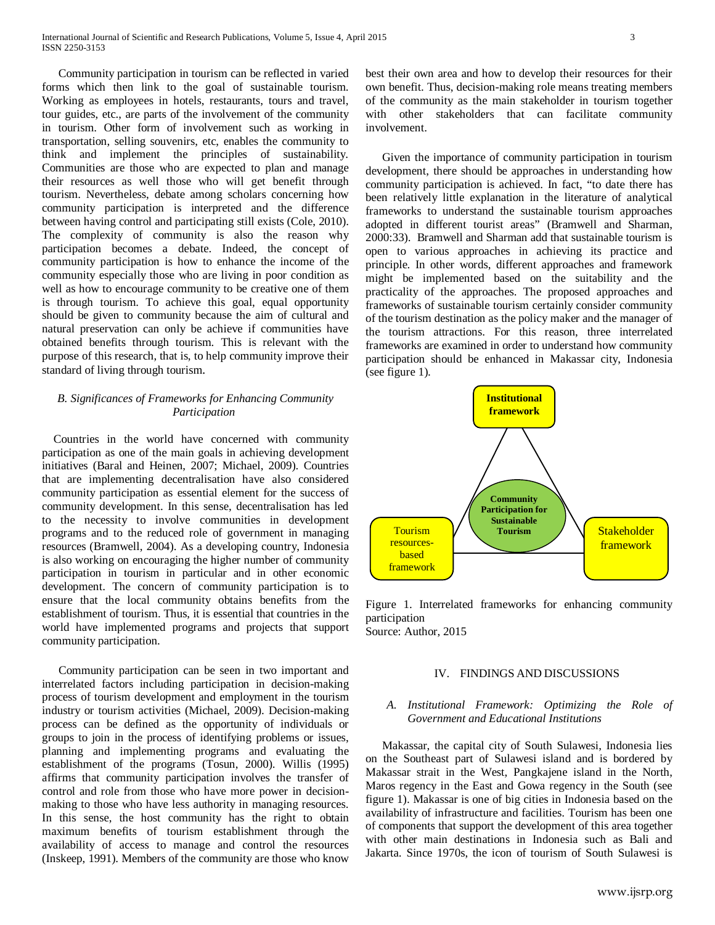Community participation in tourism can be reflected in varied forms which then link to the goal of sustainable tourism. Working as employees in hotels, restaurants, tours and travel, tour guides, etc., are parts of the involvement of the community in tourism. Other form of involvement such as working in transportation, selling souvenirs, etc, enables the community to think and implement the principles of sustainability. Communities are those who are expected to plan and manage their resources as well those who will get benefit through tourism. Nevertheless, debate among scholars concerning how community participation is interpreted and the difference between having control and participating still exists (Cole, 2010). The complexity of community is also the reason why participation becomes a debate. Indeed, the concept of community participation is how to enhance the income of the community especially those who are living in poor condition as well as how to encourage community to be creative one of them is through tourism. To achieve this goal, equal opportunity should be given to community because the aim of cultural and natural preservation can only be achieve if communities have obtained benefits through tourism. This is relevant with the purpose of this research, that is, to help community improve their standard of living through tourism.

## *B. Significances of Frameworks for Enhancing Community Participation*

 Countries in the world have concerned with community participation as one of the main goals in achieving development initiatives (Baral and Heinen, 2007; Michael, 2009). Countries that are implementing decentralisation have also considered community participation as essential element for the success of community development. In this sense, decentralisation has led to the necessity to involve communities in development programs and to the reduced role of government in managing resources (Bramwell, 2004). As a developing country, Indonesia is also working on encouraging the higher number of community participation in tourism in particular and in other economic development. The concern of community participation is to ensure that the local community obtains benefits from the establishment of tourism. Thus, it is essential that countries in the world have implemented programs and projects that support community participation.

Community participation can be seen in two important and interrelated factors including participation in decision-making process of tourism development and employment in the tourism industry or tourism activities (Michael, 2009). Decision-making process can be defined as the opportunity of individuals or groups to join in the process of identifying problems or issues, planning and implementing programs and evaluating the establishment of the programs (Tosun, 2000). Willis (1995) affirms that community participation involves the transfer of control and role from those who have more power in decisionmaking to those who have less authority in managing resources. In this sense, the host community has the right to obtain maximum benefits of tourism establishment through the availability of access to manage and control the resources (Inskeep, 1991). Members of the community are those who know

best their own area and how to develop their resources for their own benefit. Thus, decision-making role means treating members of the community as the main stakeholder in tourism together with other stakeholders that can facilitate community involvement.

Given the importance of community participation in tourism development, there should be approaches in understanding how community participation is achieved. In fact, "to date there has been relatively little explanation in the literature of analytical frameworks to understand the sustainable tourism approaches adopted in different tourist areas" (Bramwell and Sharman, 2000:33). Bramwell and Sharman add that sustainable tourism is open to various approaches in achieving its practice and principle. In other words, different approaches and framework might be implemented based on the suitability and the practicality of the approaches. The proposed approaches and frameworks of sustainable tourism certainly consider community of the tourism destination as the policy maker and the manager of the tourism attractions. For this reason, three interrelated frameworks are examined in order to understand how community participation should be enhanced in Makassar city, Indonesia (see figure 1).



Figure 1. Interrelated frameworks for enhancing community participation Source: Author, 2015

#### IV. FINDINGS AND DISCUSSIONS

#### *A. Institutional Framework: Optimizing the Role of Government and Educational Institutions*

Makassar, the capital city of South Sulawesi, Indonesia lies on the Southeast part of Sulawesi island and is bordered by Makassar strait in the West, Pangkajene island in the North, Maros regency in the East and Gowa regency in the South (see figure 1). Makassar is one of big cities in Indonesia based on the availability of infrastructure and facilities. Tourism has been one of components that support the development of this area together with other main destinations in Indonesia such as Bali and Jakarta. Since 1970s, the icon of tourism of South Sulawesi is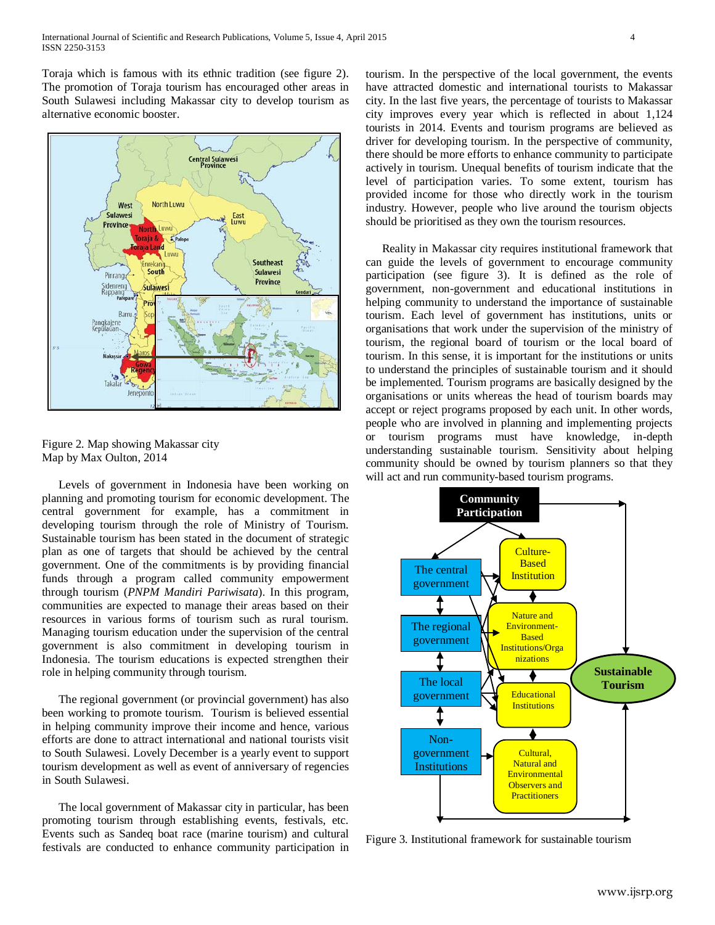Toraja which is famous with its ethnic tradition (see figure 2). The promotion of Toraja tourism has encouraged other areas in South Sulawesi including Makassar city to develop tourism as alternative economic booster.



Figure 2. Map showing Makassar city Map by Max Oulton, 2014

Levels of government in Indonesia have been working on planning and promoting tourism for economic development. The central government for example, has a commitment in developing tourism through the role of Ministry of Tourism. Sustainable tourism has been stated in the document of strategic plan as one of targets that should be achieved by the central government. One of the commitments is by providing financial funds through a program called community empowerment through tourism (*PNPM Mandiri Pariwisata*). In this program, communities are expected to manage their areas based on their resources in various forms of tourism such as rural tourism. Managing tourism education under the supervision of the central government is also commitment in developing tourism in Indonesia. The tourism educations is expected strengthen their role in helping community through tourism.

The regional government (or provincial government) has also been working to promote tourism. Tourism is believed essential in helping community improve their income and hence, various efforts are done to attract international and national tourists visit to South Sulawesi. Lovely December is a yearly event to support tourism development as well as event of anniversary of regencies in South Sulawesi.

The local government of Makassar city in particular, has been promoting tourism through establishing events, festivals, etc. Events such as Sandeq boat race (marine tourism) and cultural festivals are conducted to enhance community participation in tourism. In the perspective of the local government, the events have attracted domestic and international tourists to Makassar city. In the last five years, the percentage of tourists to Makassar city improves every year which is reflected in about 1,124 tourists in 2014. Events and tourism programs are believed as driver for developing tourism. In the perspective of community, there should be more efforts to enhance community to participate actively in tourism. Unequal benefits of tourism indicate that the level of participation varies. To some extent, tourism has provided income for those who directly work in the tourism industry. However, people who live around the tourism objects should be prioritised as they own the tourism resources.

Reality in Makassar city requires institutional framework that can guide the levels of government to encourage community participation (see figure 3). It is defined as the role of government, non-government and educational institutions in helping community to understand the importance of sustainable tourism. Each level of government has institutions, units or organisations that work under the supervision of the ministry of tourism, the regional board of tourism or the local board of tourism. In this sense, it is important for the institutions or units to understand the principles of sustainable tourism and it should be implemented. Tourism programs are basically designed by the organisations or units whereas the head of tourism boards may accept or reject programs proposed by each unit. In other words, people who are involved in planning and implementing projects or tourism programs must have knowledge, in-depth understanding sustainable tourism. Sensitivity about helping community should be owned by tourism planners so that they will act and run community-based tourism programs.



Figure 3. Institutional framework for sustainable tourism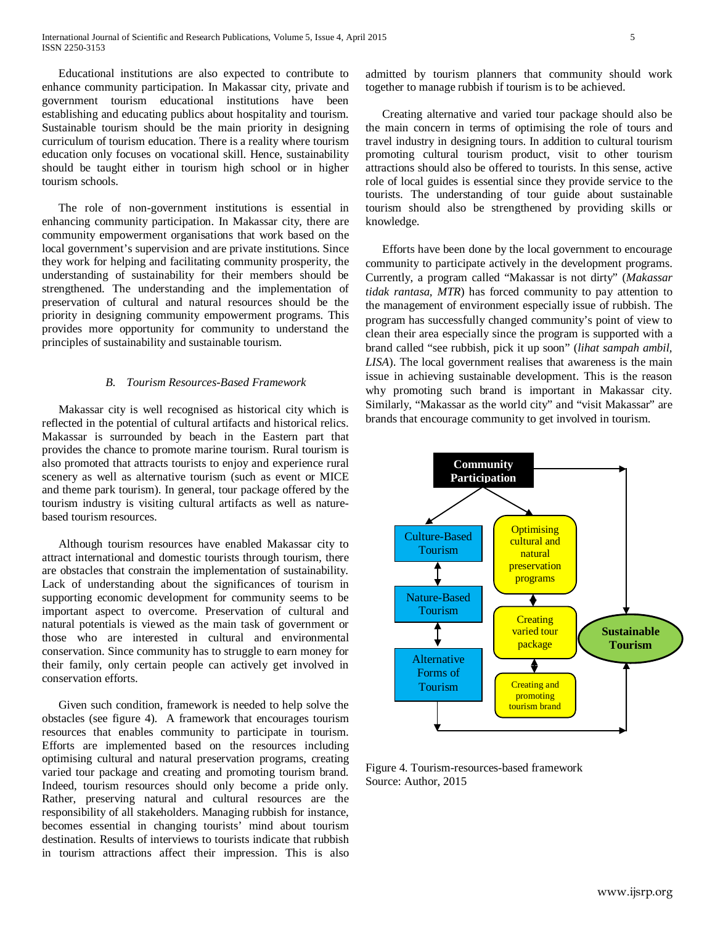Educational institutions are also expected to contribute to enhance community participation. In Makassar city, private and government tourism educational institutions have been establishing and educating publics about hospitality and tourism. Sustainable tourism should be the main priority in designing curriculum of tourism education. There is a reality where tourism education only focuses on vocational skill. Hence, sustainability should be taught either in tourism high school or in higher tourism schools.

The role of non-government institutions is essential in enhancing community participation. In Makassar city, there are community empowerment organisations that work based on the local government's supervision and are private institutions. Since they work for helping and facilitating community prosperity, the understanding of sustainability for their members should be strengthened. The understanding and the implementation of preservation of cultural and natural resources should be the priority in designing community empowerment programs. This provides more opportunity for community to understand the principles of sustainability and sustainable tourism.

#### *B. Tourism Resources-Based Framework*

Makassar city is well recognised as historical city which is reflected in the potential of cultural artifacts and historical relics. Makassar is surrounded by beach in the Eastern part that provides the chance to promote marine tourism. Rural tourism is also promoted that attracts tourists to enjoy and experience rural scenery as well as alternative tourism (such as event or MICE and theme park tourism). In general, tour package offered by the tourism industry is visiting cultural artifacts as well as naturebased tourism resources.

Although tourism resources have enabled Makassar city to attract international and domestic tourists through tourism, there are obstacles that constrain the implementation of sustainability. Lack of understanding about the significances of tourism in supporting economic development for community seems to be important aspect to overcome. Preservation of cultural and natural potentials is viewed as the main task of government or those who are interested in cultural and environmental conservation. Since community has to struggle to earn money for their family, only certain people can actively get involved in conservation efforts.

Given such condition, framework is needed to help solve the obstacles (see figure 4). A framework that encourages tourism resources that enables community to participate in tourism. Efforts are implemented based on the resources including optimising cultural and natural preservation programs, creating varied tour package and creating and promoting tourism brand. Indeed, tourism resources should only become a pride only. Rather, preserving natural and cultural resources are the responsibility of all stakeholders. Managing rubbish for instance, becomes essential in changing tourists' mind about tourism destination. Results of interviews to tourists indicate that rubbish in tourism attractions affect their impression. This is also

admitted by tourism planners that community should work together to manage rubbish if tourism is to be achieved.

Creating alternative and varied tour package should also be the main concern in terms of optimising the role of tours and travel industry in designing tours. In addition to cultural tourism promoting cultural tourism product, visit to other tourism attractions should also be offered to tourists. In this sense, active role of local guides is essential since they provide service to the tourists. The understanding of tour guide about sustainable tourism should also be strengthened by providing skills or knowledge.

Efforts have been done by the local government to encourage community to participate actively in the development programs. Currently, a program called "Makassar is not dirty" (*Makassar tidak rantasa, MTR*) has forced community to pay attention to the management of environment especially issue of rubbish. The program has successfully changed community's point of view to clean their area especially since the program is supported with a brand called "see rubbish, pick it up soon" (*lihat sampah ambil, LISA*). The local government realises that awareness is the main issue in achieving sustainable development. This is the reason why promoting such brand is important in Makassar city. Similarly, "Makassar as the world city" and "visit Makassar" are brands that encourage community to get involved in tourism.



Figure 4. Tourism-resources-based framework Source: Author, 2015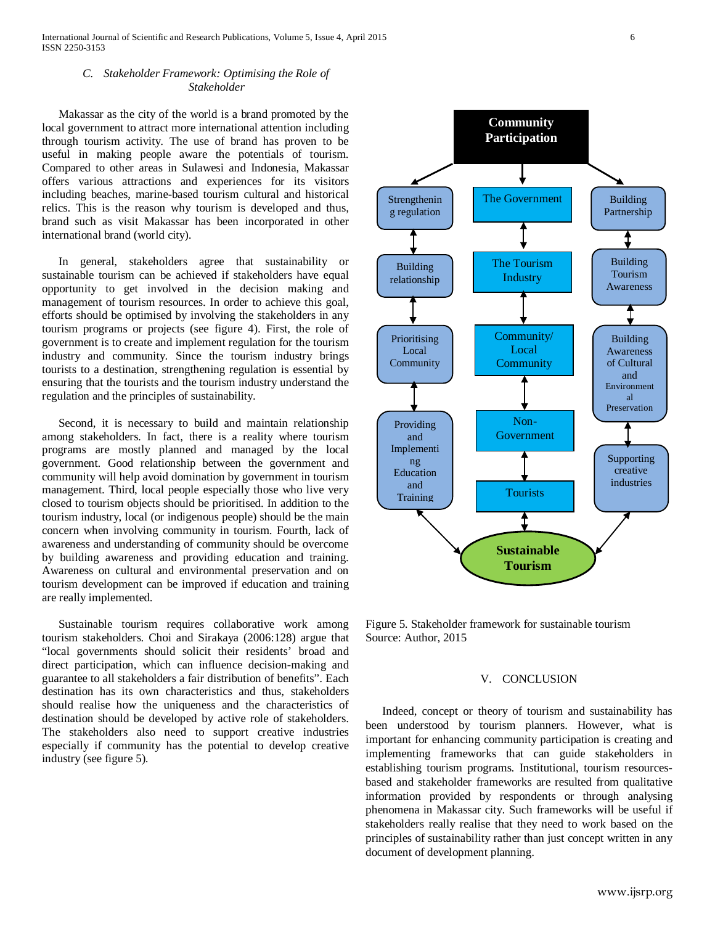## *C. Stakeholder Framework: Optimising the Role of Stakeholder*

Makassar as the city of the world is a brand promoted by the local government to attract more international attention including through tourism activity. The use of brand has proven to be useful in making people aware the potentials of tourism. Compared to other areas in Sulawesi and Indonesia, Makassar offers various attractions and experiences for its visitors including beaches, marine-based tourism cultural and historical relics. This is the reason why tourism is developed and thus, brand such as visit Makassar has been incorporated in other international brand (world city).

In general, stakeholders agree that sustainability or sustainable tourism can be achieved if stakeholders have equal opportunity to get involved in the decision making and management of tourism resources. In order to achieve this goal, efforts should be optimised by involving the stakeholders in any tourism programs or projects (see figure 4). First, the role of government is to create and implement regulation for the tourism industry and community. Since the tourism industry brings tourists to a destination, strengthening regulation is essential by ensuring that the tourists and the tourism industry understand the regulation and the principles of sustainability.

Second, it is necessary to build and maintain relationship among stakeholders. In fact, there is a reality where tourism programs are mostly planned and managed by the local government. Good relationship between the government and community will help avoid domination by government in tourism management. Third, local people especially those who live very closed to tourism objects should be prioritised. In addition to the tourism industry, local (or indigenous people) should be the main concern when involving community in tourism. Fourth, lack of awareness and understanding of community should be overcome by building awareness and providing education and training. Awareness on cultural and environmental preservation and on tourism development can be improved if education and training are really implemented.

Sustainable tourism requires collaborative work among tourism stakeholders. Choi and Sirakaya (2006:128) argue that "local governments should solicit their residents' broad and direct participation, which can influence decision-making and guarantee to all stakeholders a fair distribution of benefits". Each destination has its own characteristics and thus, stakeholders should realise how the uniqueness and the characteristics of destination should be developed by active role of stakeholders. The stakeholders also need to support creative industries especially if community has the potential to develop creative industry (see figure 5).





Figure 5. Stakeholder framework for sustainable tourism Source: Author, 2015

#### V. CONCLUSION

Indeed, concept or theory of tourism and sustainability has been understood by tourism planners. However, what is important for enhancing community participation is creating and implementing frameworks that can guide stakeholders in establishing tourism programs. Institutional, tourism resourcesbased and stakeholder frameworks are resulted from qualitative information provided by respondents or through analysing phenomena in Makassar city. Such frameworks will be useful if stakeholders really realise that they need to work based on the principles of sustainability rather than just concept written in any document of development planning.